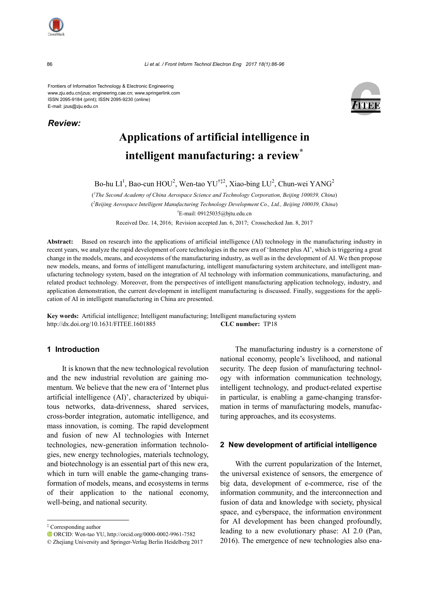*Review:*

Frontiers of Information Technology & Electronic Engineering www.zju.edu.cn/jzus; engineering.cae.cn; www.springerlink.com ISSN 2095-9184 (print); ISSN 2095-9230 (online) E-mail: jzus@zju.edu.cn



# **Applications of artificial intelligence in intelligent manufacturing: a review\***

Bo-hu LI<sup>1</sup>, Bao-cun HOU<sup>2</sup>, Wen-tao YU<sup>†‡2</sup>, Xiao-bing LU<sup>2</sup>, Chun-wei YANG<sup>2</sup>

( *1 The Second Academy of China Aerospace Science and Technology Corporation, Beijing 100039, China*) ( *2 Beijing Aerospace Intelligent Manufacturing Technology Development Co., Ltd., Beijing 100039, China*) † E-mail: 09125035@bjtu.edu.cn

Received Dec. 14, 2016; Revision accepted Jan. 6, 2017; Crosschecked Jan. 8, 2017

**Abstract:** Based on research into the applications of artificial intelligence (AI) technology in the manufacturing industry in recent years, we analyze the rapid development of core technologies in the new era of 'Internet plus AI', which is triggering a great change in the models, means, and ecosystems of the manufacturing industry, as well as in the development of AI. We then propose new models, means, and forms of intelligent manufacturing, intelligent manufacturing system architecture, and intelligent manufacturing technology system, based on the integration of AI technology with information communications, manufacturing, and related product technology. Moreover, from the perspectives of intelligent manufacturing application technology, industry, and application demonstration, the current development in intelligent manufacturing is discussed. Finally, suggestions for the application of AI in intelligent manufacturing in China are presented.

**Key words:** Artificial intelligence; Intelligent manufacturing; Intelligent manufacturing system http://dx.doi.org/10.1631/FITEE.1601885 **CLC number:** TP18

## **1 Introduction**

It is known that the new technological revolution and the new industrial revolution are gaining momentum. We believe that the new era of 'Internet plus artificial intelligence (AI)', characterized by ubiquitous networks, data-drivenness, shared services, cross-border integration, automatic intelligence, and mass innovation, is coming. The rapid development and fusion of new AI technologies with Internet technologies, new-generation information technologies, new energy technologies, materials technology, and biotechnology is an essential part of this new era, which in turn will enable the game-changing transformation of models, means, and ecosystems in terms of their application to the national economy, well-being, and national security.

The manufacturing industry is a cornerstone of national economy, people's livelihood, and national security. The deep fusion of manufacturing technology with information communication technology, intelligent technology, and product-related expertise in particular, is enabling a game-changing transformation in terms of manufacturing models, manufacturing approaches, and its ecosystems.

# **2 New development of artificial intelligence**

With the current popularization of the Internet, the universal existence of sensors, the emergence of big data, development of e-commerce, rise of the information community, and the interconnection and fusion of data and knowledge with society, physical space, and cyberspace, the information environment for AI development has been changed profoundly, leading to a new evolutionary phase: AI 2.0 (Pan, 2016). The emergence of new technologies also ena-

<sup>‡</sup> Corresponding author

ORCID: Wen-tao YU, http://orcid.org/0000-0002-9961-7582

<sup>©</sup> Zhejiang University and Springer-Verlag Berlin Heidelberg 2017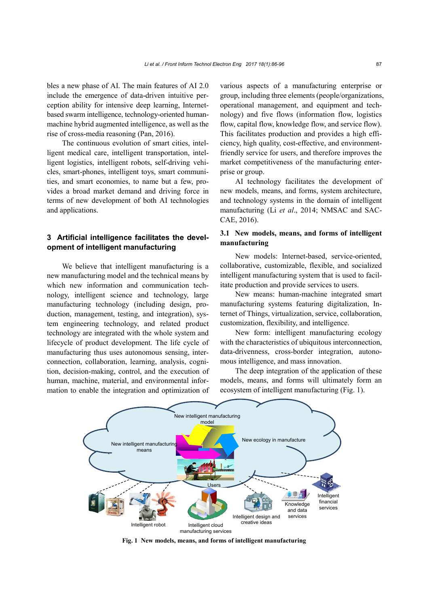bles a new phase of AI. The main features of AI 2.0 include the emergence of data-driven intuitive perception ability for intensive deep learning, Internetbased swarm intelligence, technology-oriented humanmachine hybrid augmented intelligence, as well as the rise of cross-media reasoning (Pan, 2016).

The continuous evolution of smart cities, intelligent medical care, intelligent transportation, intelligent logistics, intelligent robots, self-driving vehicles, smart-phones, intelligent toys, smart communities, and smart economies, to name but a few, provides a broad market demand and driving force in terms of new development of both AI technologies and applications.

# **3 Artificial intelligence facilitates the development of intelligent manufacturing**

We believe that intelligent manufacturing is a new manufacturing model and the technical means by which new information and communication technology, intelligent science and technology, large manufacturing technology (including design, production, management, testing, and integration), system engineering technology, and related product technology are integrated with the whole system and lifecycle of product development. The life cycle of manufacturing thus uses autonomous sensing, interconnection, collaboration, learning, analysis, cognition, decision-making, control, and the execution of human, machine, material, and environmental information to enable the integration and optimization of various aspects of a manufacturing enterprise or group, including three elements (people/organizations, operational management, and equipment and technology) and five flows (information flow, logistics flow, capital flow, knowledge flow, and service flow). This facilitates production and provides a high efficiency, high quality, cost-effective, and environmentfriendly service for users, and therefore improves the market competitiveness of the manufacturing enterprise or group.

AI technology facilitates the development of new models, means, and forms, system architecture, and technology systems in the domain of intelligent manufacturing (Li *et al*., 2014; NMSAC and SAC-CAE, 2016).

# **3.1 New models, means, and forms of intelligent manufacturing**

New models: Internet-based, service-oriented, collaborative, customizable, flexible, and socialized intelligent manufacturing system that is used to facilitate production and provide services to users.

New means: human-machine integrated smart manufacturing systems featuring digitalization, Internet of Things, virtualization, service, collaboration, customization, flexibility, and intelligence.

New form: intelligent manufacturing ecology with the characteristics of ubiquitous interconnection, data-drivenness, cross-border integration, autonomous intelligence, and mass innovation.

The deep integration of the application of these models, means, and forms will ultimately form an ecosystem of intelligent manufacturing (Fig. 1).



**Fig. 1 New models, means, and forms of intelligent manufacturing**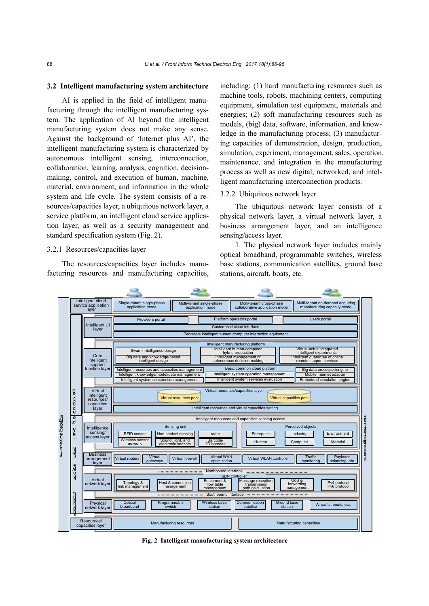### **3.2 Intelligent manufacturing system architecture**

AI is applied in the field of intelligent manufacturing through the intelligent manufacturing system. The application of AI beyond the intelligent manufacturing system does not make any sense. Against the background of 'Internet plus AI', the intelligent manufacturing system is characterized by autonomous intelligent sensing, interconnection, collaboration, learning, analysis, cognition, decisionmaking, control, and execution of human, machine, material, environment, and information in the whole system and life cycle. The system consists of a resources/capacities layer, a ubiquitous network layer, a service platform, an intelligent cloud service application layer, as well as a security management and standard specification system (Fig. 2).

## 3.2.1 Resources/capacities layer

The resources/capacities layer includes manufacturing resources and manufacturing capacities,

including: (1) hard manufacturing resources such as machine tools, robots, machining centers, computing equipment, simulation test equipment, materials and energies; (2) soft manufacturing resources such as models, (big) data, software, information, and knowledge in the manufacturing process; (3) manufacturing capacities of demonstration, design, production, simulation, experiment, management, sales, operation, maintenance, and integration in the manufacturing process as well as new digital, networked, and intelligent manufacturing interconnection products.

## 3.2.2 Ubiquitous network layer

The ubiquitous network layer consists of a physical network layer, a virtual network layer, a business arrangement layer, and an intelligence sensing/access layer.

1. The physical network layer includes mainly optical broadband, programmable switches, wireless base stations, communication satellites, ground base stations, aircraft, boats, etc.



**Fig. 2 Intelligent manufacturing system architecture**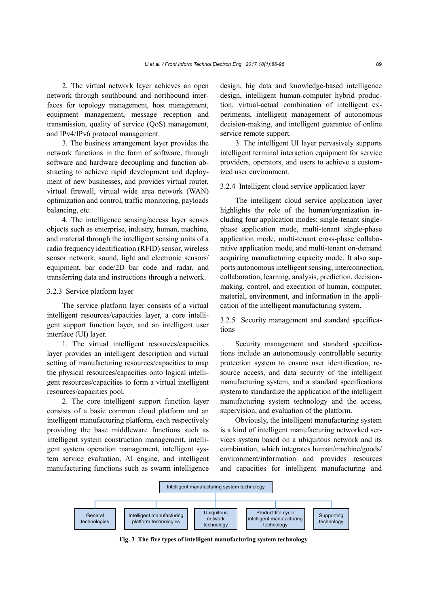2. The virtual network layer achieves an open network through southbound and northbound interfaces for topology management, host management, equipment management, message reception and transmission, quality of service (QoS) management, and IPv4/IPv6 protocol management.

3. The business arrangement layer provides the network functions in the form of software, through software and hardware decoupling and function abstracting to achieve rapid development and deployment of new businesses, and provides virtual router, virtual firewall, virtual wide area network (WAN) optimization and control, traffic monitoring, payloads balancing, etc.

4. The intelligence sensing/access layer senses objects such as enterprise, industry, human, machine, and material through the intelligent sensing units of a radio frequency identification (RFID) sensor, wireless sensor network, sound, light and electronic sensors/ equipment, bar code/2D bar code and radar, and transferring data and instructions through a network.

#### 3.2.3 Service platform layer

The service platform layer consists of a virtual intelligent resources/capacities layer, a core intelligent support function layer, and an intelligent user interface (UI) layer.

1. The virtual intelligent resources/capacities layer provides an intelligent description and virtual setting of manufacturing resources/capacities to map the physical resources/capacities onto logical intelligent resources/capacities to form a virtual intelligent resources/capacities pool.

2. The core intelligent support function layer consists of a basic common cloud platform and an intelligent manufacturing platform, each respectively providing the base middleware functions such as intelligent system construction management, intelligent system operation management, intelligent system service evaluation, AI engine, and intelligent manufacturing functions such as swarm intelligence

design, big data and knowledge-based intelligence design, intelligent human-computer hybrid production, virtual-actual combination of intelligent experiments, intelligent management of autonomous decision-making, and intelligent guarantee of online service remote support.

3. The intelligent UI layer pervasively supports intelligent terminal interaction equipment for service providers, operators, and users to achieve a customized user environment.

3.2.4 Intelligent cloud service application layer

The intelligent cloud service application layer highlights the role of the human/organization including four application modes: single-tenant singlephase application mode, multi-tenant single-phase application mode, multi-tenant cross-phase collaborative application mode, and multi-tenant on-demand acquiring manufacturing capacity mode. It also supports autonomous intelligent sensing, interconnection, collaboration, learning, analysis, prediction, decisionmaking, control, and execution of human, computer, material, environment, and information in the application of the intelligent manufacturing system.

3.2.5 Security management and standard specifications

Security management and standard specifications include an autonomously controllable security protection system to ensure user identification, resource access, and data security of the intelligent manufacturing system, and a standard specifications system to standardize the application of the intelligent manufacturing system technology and the access, supervision, and evaluation of the platform.

Obviously, the intelligent manufacturing system is a kind of intelligent manufacturing networked services system based on a ubiquitous network and its combination, which integrates human/machine/goods/ environment/information and provides resources and capacities for intelligent manufacturing and



**Fig. 3 The five types of intelligent manufacturing system technology**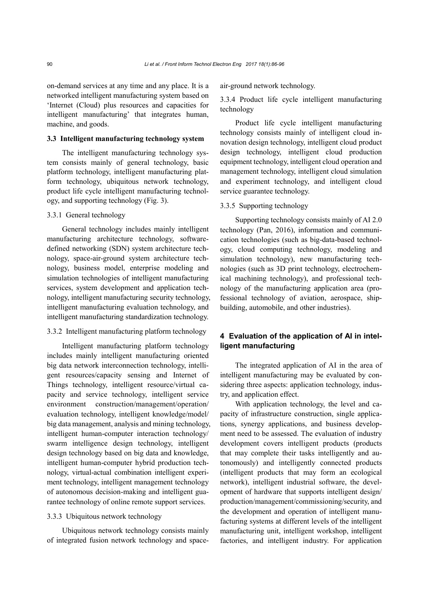on-demand services at any time and any place. It is a networked intelligent manufacturing system based on 'Internet (Cloud) plus resources and capacities for intelligent manufacturing' that integrates human, machine, and goods.

## **3.3 Intelligent manufacturing technology system**

The intelligent manufacturing technology system consists mainly of general technology, basic platform technology, intelligent manufacturing platform technology, ubiquitous network technology, product life cycle intelligent manufacturing technology, and supporting technology (Fig. 3).

## 3.3.1 General technology

General technology includes mainly intelligent manufacturing architecture technology, softwaredefined networking (SDN) system architecture technology, space-air-ground system architecture technology, business model, enterprise modeling and simulation technologies of intelligent manufacturing services, system development and application technology, intelligent manufacturing security technology, intelligent manufacturing evaluation technology, and intelligent manufacturing standardization technology.

## 3.3.2 Intelligent manufacturing platform technology

Intelligent manufacturing platform technology includes mainly intelligent manufacturing oriented big data network interconnection technology, intelligent resources/capacity sensing and Internet of Things technology, intelligent resource/virtual capacity and service technology, intelligent service environment construction/management/operation/ evaluation technology, intelligent knowledge/model/ big data management, analysis and mining technology, intelligent human-computer interaction technology/ swarm intelligence design technology, intelligent design technology based on big data and knowledge, intelligent human-computer hybrid production technology, virtual-actual combination intelligent experiment technology, intelligent management technology of autonomous decision-making and intelligent guarantee technology of online remote support services.

## 3.3.3 Ubiquitous network technology

Ubiquitous network technology consists mainly of integrated fusion network technology and spaceair-ground network technology.

3.3.4 Product life cycle intelligent manufacturing technology

Product life cycle intelligent manufacturing technology consists mainly of intelligent cloud innovation design technology, intelligent cloud product design technology, intelligent cloud production equipment technology, intelligent cloud operation and management technology, intelligent cloud simulation and experiment technology, and intelligent cloud service guarantee technology.

### 3.3.5 Supporting technology

Supporting technology consists mainly of AI 2.0 technology (Pan, 2016), information and communication technologies (such as big-data-based technology, cloud computing technology, modeling and simulation technology), new manufacturing technologies (such as 3D print technology, electrochemical machining technology), and professional technology of the manufacturing application area (professional technology of aviation, aerospace, shipbuilding, automobile, and other industries).

# **4 Evaluation of the application of AI in intelligent manufacturing**

The integrated application of AI in the area of intelligent manufacturing may be evaluated by considering three aspects: application technology, industry, and application effect.

With application technology, the level and capacity of infrastructure construction, single applications, synergy applications, and business development need to be assessed. The evaluation of industry development covers intelligent products (products that may complete their tasks intelligently and autonomously) and intelligently connected products (intelligent products that may form an ecological network), intelligent industrial software, the development of hardware that supports intelligent design/ production/management/commissioning/security, and the development and operation of intelligent manufacturing systems at different levels of the intelligent manufacturing unit, intelligent workshop, intelligent factories, and intelligent industry. For application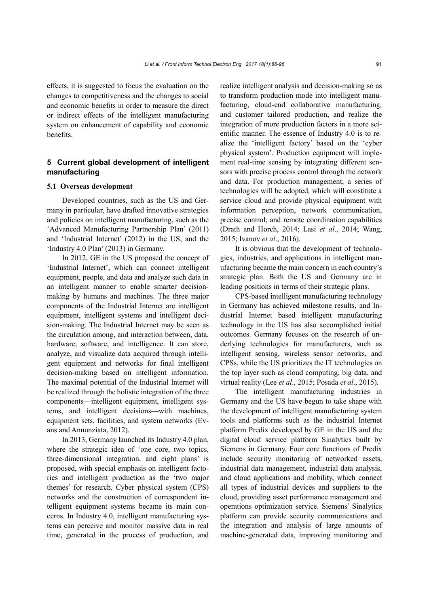effects, it is suggested to focus the evaluation on the changes to competitiveness and the changes to social and economic benefits in order to measure the direct or indirect effects of the intelligent manufacturing system on enhancement of capability and economic benefits.

# **5 Current global development of intelligent manufacturing**

## **5.1 Overseas development**

Developed countries, such as the US and Germany in particular, have drafted innovative strategies and policies on intelligent manufacturing, such as the 'Advanced Manufacturing Partnership Plan' (2011) and 'Industrial Internet' (2012) in the US, and the 'Industry 4.0 Plan' (2013) in Germany.

In 2012, GE in the US proposed the concept of 'Industrial Internet', which can connect intelligent equipment, people, and data and analyze such data in an intelligent manner to enable smarter decisionmaking by humans and machines. The three major components of the Industrial Internet are intelligent equipment, intelligent systems and intelligent decision-making. The Industrial Internet may be seen as the circulation among, and interaction between, data, hardware, software, and intelligence. It can store, analyze, and visualize data acquired through intelligent equipment and networks for final intelligent decision-making based on intelligent information. The maximal potential of the Industrial Internet will be realized through the holistic integration of the three components—intelligent equipment, intelligent systems, and intelligent decisions—with machines, equipment sets, facilities, and system networks (Evans and Annunziata, 2012).

In 2013, Germany launched its Industry 4.0 plan, where the strategic idea of 'one core, two topics, three-dimensional integration, and eight plans' is proposed, with special emphasis on intelligent factories and intelligent production as the 'two major themes' for research. Cyber physical system (CPS) networks and the construction of correspondent intelligent equipment systems became its main concerns. In Industry 4.0, intelligent manufacturing systems can perceive and monitor massive data in real time, generated in the process of production, and realize intelligent analysis and decision-making so as to transform production mode into intelligent manufacturing, cloud-end collaborative manufacturing, and customer tailored production, and realize the integration of more production factors in a more scientific manner. The essence of Industry 4.0 is to realize the 'intelligent factory' based on the 'cyber physical system'. Production equipment will implement real-time sensing by integrating different sensors with precise process control through the network and data. For production management, a series of technologies will be adopted, which will constitute a service cloud and provide physical equipment with information perception, network communication, precise control, and remote coordination capabilities (Drath and Horch, 2014; Lasi *et al*., 2014; Wang, 2015; Ivanov *et al*., 2016).

It is obvious that the development of technologies, industries, and applications in intelligent manufacturing became the main concern in each country's strategic plan. Both the US and Germany are in leading positions in terms of their strategic plans.

CPS-based intelligent manufacturing technology in Germany has achieved milestone results, and Industrial Internet based intelligent manufacturing technology in the US has also accomplished initial outcomes. Germany focuses on the research of underlying technologies for manufacturers, such as intelligent sensing, wireless sensor networks, and CPSs, while the US prioritizes the IT technologies on the top layer such as cloud computing, big data, and virtual reality (Lee *et al*., 2015[; Posada](http://xueshu.baidu.com/s?wd=author%3A%28Posada%2C%20Jorge%29%20&tn=SE_baiduxueshu_c1gjeupa&ie=utf-8&sc_f_para=sc_hilight%3Dperson) *et al*., 2015).

The intelligent manufacturing industries in Germany and the US have begun to take shape with the development of intelligent manufacturing system tools and platforms such as the industrial Internet platform Predix developed by GE in the US and the digital cloud service platform Sinalytics built by Siemens in Germany. Four core functions of Predix include security monitoring of networked assets, industrial data management, industrial data analysis, and cloud applications and mobility, which connect all types of industrial devices and suppliers to the cloud, providing asset performance management and operations optimization service. Siemens' Sinalytics platform can provide security communications and the integration and analysis of large amounts of machine-generated data, improving monitoring and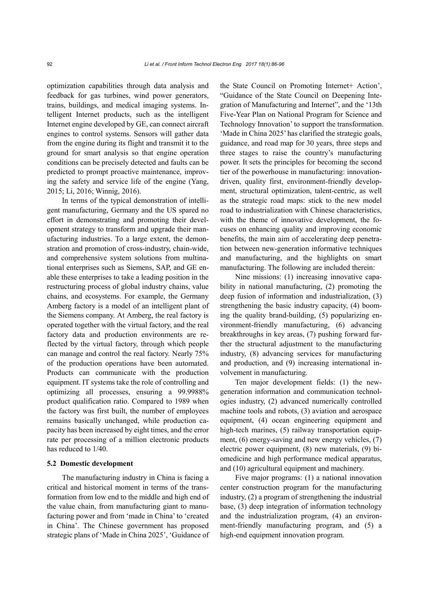optimization capabilities through data analysis and feedback for gas turbines, wind power generators, trains, buildings, and medical imaging systems. Intelligent Internet products, such as the intelligent Internet engine developed by GE, can connect aircraft engines to control systems. Sensors will gather data from the engine during its flight and transmit it to the ground for smart analysis so that engine operation conditions can be precisely detected and faults can be predicted to prompt proactive maintenance, improving the safety and service life of the engine (Yang, 2015; Li, 2016; [Winnig,](http://xueshu.baidu.com/s?wd=author%3A%28Laura%20W.%20Winnig%29%20&tn=SE_baiduxueshu_c1gjeupa&ie=utf-8&sc_f_para=sc_hilight%3Dperson) 2016).

In terms of the typical demonstration of intelligent manufacturing, Germany and the US spared no effort in demonstrating and promoting their development strategy to transform and upgrade their manufacturing industries. To a large extent, the demonstration and promotion of cross-industry, chain-wide, and comprehensive system solutions from multinational enterprises such as Siemens, SAP, and GE enable these enterprises to take a leading position in the restructuring process of global industry chains, value chains, and ecosystems. For example, the Germany Amberg factory is a model of an intelligent plant of the Siemens company. At Amberg, the real factory is operated together with the virtual factory, and the real factory data and production environments are reflected by the virtual factory, through which people can manage and control the real factory. Nearly 75% of the production operations have been automated. Products can communicate with the production equipment. IT systems take the role of controlling and optimizing all processes, ensuring a 99.9988% product qualification ratio. Compared to 1989 when the factory was first built, the number of employees remains basically unchanged, while production capacity has been increased by eight times, and the error rate per processing of a million electronic products has reduced to 1/40.

#### **5.2 Domestic development**

The manufacturing industry in China is facing a critical and historical moment in terms of the transformation from low end to the middle and high end of the value chain, from manufacturing giant to manufacturing power and from 'made in China' to 'created in China'. The Chinese government has proposed strategic plans of 'Made in China 2025', 'Guidance of the State Council on Promoting Internet+ Action', "Guidance of the State Council on Deepening Integration of Manufacturing and Internet", and the '13th Five-Year Plan on National Program for Science and Technology Innovation' to support the transformation. 'Made in China 2025' has clarified the strategic goals, guidance, and road map for 30 years, three steps and three stages to raise the country's manufacturing power. It sets the principles for becoming the second tier of the powerhouse in manufacturing: innovationdriven, quality first, environment-friendly development, structural optimization, talent-centric, as well as the strategic road maps: stick to the new model road to industrialization with Chinese characteristics, with the theme of innovative development, the focuses on enhancing quality and improving economic benefits, the main aim of accelerating deep penetration between new-generation informative techniques and manufacturing, and the highlights on smart manufacturing. The following are included therein:

Nine missions: (1) increasing innovative capability in national manufacturing, (2) promoting the deep fusion of information and industrialization, (3) strengthening the basic industry capacity, (4) booming the quality brand-building, (5) popularizing environment-friendly manufacturing, (6) advancing breakthroughs in key areas, (7) pushing forward further the structural adjustment to the manufacturing industry, (8) advancing services for manufacturing and production, and (9) increasing international involvement in manufacturing.

Ten major development fields: (1) the newgeneration information and communication technologies industry, (2) advanced numerically controlled machine tools and robots, (3) aviation and aerospace equipment, (4) ocean engineering equipment and high-tech marines, (5) railway transportation equipment, (6) energy-saving and new energy vehicles, (7) electric power equipment, (8) new materials, (9) biomedicine and high performance medical apparatus, and (10) agricultural equipment and machinery.

Five major programs: (1) a national innovation center construction program for the manufacturing industry, (2) a program of strengthening the industrial base, (3) deep integration of information technology and the industrialization program, (4) an environment-friendly manufacturing program, and (5) a high-end equipment innovation program.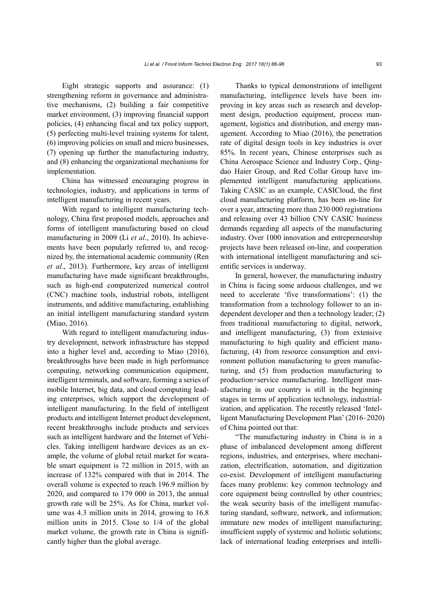Eight strategic supports and assurance: (1) strengthening reform in governance and administrative mechanisms, (2) building a fair competitive market environment, (3) improving financial support policies, (4) enhancing fiscal and tax policy support, (5) perfecting multi-level training systems for talent, (6) improving policies on small and micro businesses, (7) opening up further the manufacturing industry, and (8) enhancing the organizational mechanisms for implementation.

China has witnessed encouraging progress in technologies, industry, and applications in terms of intelligent manufacturing in recent years.

With regard to intelligent manufacturing technology, China first proposed models, approaches and forms of intelligent manufacturing based on cloud manufacturing in 2009 (Li *et al*., 2010). Its achievements have been popularly referred to, and recognized by, the international academic community (Ren *et al*., 2013). Furthermore, key areas of intelligent manufacturing have made significant breakthroughs, such as high-end computerized numerical control (CNC) machine tools, industrial robots, intelligent instruments, and additive manufacturing, establishing an initial intelligent manufacturing standard system (Miao, 2016).

With regard to intelligent manufacturing industry development, network infrastructure has stepped into a higher level and, according to Miao (2016), breakthroughs have been made in high performance computing, networking communication equipment, intelligent terminals, and software, forming a series of mobile Internet, big data, and cloud computing leading enterprises, which support the development of intelligent manufacturing. In the field of intelligent products and intelligent Internet product development, recent breakthroughs include products and services such as intelligent hardware and the Internet of Vehicles. Taking intelligent hardware devices as an example, the volume of global retail market for wearable smart equipment is 72 million in 2015, with an increase of 132% compared with that in 2014. The overall volume is expected to reach 196.9 million by 2020, and compared to 179 000 in 2013, the annual growth rate will be 25%. As for China, market volume was 4.3 million units in 2014, growing to 16.8 million units in 2015. Close to 1/4 of the global market volume, the growth rate in China is significantly higher than the global average.

Thanks to typical demonstrations of intelligent manufacturing, intelligence levels have been improving in key areas such as research and development design, production equipment, process management, logistics and distribution, and energy management. According to Miao (2016), the penetration rate of digital design tools in key industries is over 85%. In recent years, Chinese enterprises such as China Aerospace Science and Industry Corp., Qingdao Haier Group, and Red Collar Group have implemented intelligent manufacturing applications. Taking CASIC as an example, CASICloud, the first cloud manufacturing platform, has been on-line for over a year, attracting more than 230 000 registrations and releasing over 43 billion CNY CASIC business demands regarding all aspects of the manufacturing industry. Over 1000 innovation and entrepreneurship projects have been released on-line, and cooperation with international intelligent manufacturing and scientific services is underway.

In general, however, the manufacturing industry in China is facing some arduous challenges, and we need to accelerate 'five transformations': (1) the transformation from a technology follower to an independent developer and then a technology leader; (2) from traditional manufacturing to digital, network, and intelligent manufacturing, (3) from extensive manufacturing to high quality and efficient manufacturing, (4) from resource consumption and environment pollution manufacturing to green manufacturing, and (5) from production manufacturing to production+service manufacturing. Intelligent manufacturing in our country is still in the beginning stages in terms of application technology, industrialization, and application. The recently released 'Intelligent Manufacturing Development Plan'(2016–2020) of China pointed out that:

"The manufacturing industry in China is in a phase of imbalanced development among different regions, industries, and enterprises, where mechanization, electrification, automation, and digitization co-exist. Development of intelligent manufacturing faces many problems: key common technology and core equipment being controlled by other countries; the weak security basis of the intelligent manufacturing standard, software, network, and information; immature new modes of intelligent manufacturing; insufficient supply of systemic and holistic solutions; lack of international leading enterprises and intelli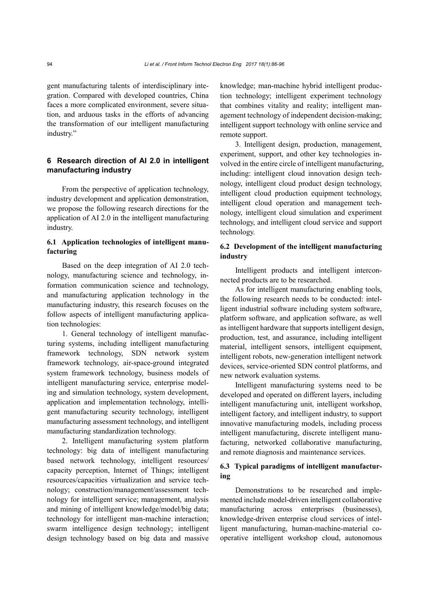gent manufacturing talents of interdisciplinary integration. Compared with developed countries, China faces a more complicated environment, severe situation, and arduous tasks in the efforts of advancing the transformation of our intelligent manufacturing industry."

# **6 Research direction of AI 2.0 in intelligent manufacturing industry**

From the perspective of application technology, industry development and application demonstration, we propose the following research directions for the application of AI 2.0 in the intelligent manufacturing industry.

# **6.1 Application technologies of intelligent manufacturing**

Based on the deep integration of AI 2.0 technology, manufacturing science and technology, information communication science and technology, and manufacturing application technology in the manufacturing industry, this research focuses on the follow aspects of intelligent manufacturing application technologies:

1. General technology of intelligent manufacturing systems, including intelligent manufacturing framework technology, SDN network system framework technology, air-space-ground integrated system framework technology, business models of intelligent manufacturing service, enterprise modeling and simulation technology, system development, application and implementation technology, intelligent manufacturing security technology, intelligent manufacturing assessment technology, and intelligent manufacturing standardization technology.

2. Intelligent manufacturing system platform technology: big data of intelligent manufacturing based network technology, intelligent resources/ capacity perception, Internet of Things; intelligent resources/capacities virtualization and service technology; construction/management/assessment technology for intelligent service; management, analysis and mining of intelligent knowledge/model/big data; technology for intelligent man-machine interaction; swarm intelligence design technology; intelligent design technology based on big data and massive

knowledge; man-machine hybrid intelligent production technology; intelligent experiment technology that combines vitality and reality; intelligent management technology of independent decision-making; intelligent support technology with online service and remote support.

3. Intelligent design, production, management, experiment, support, and other key technologies involved in the entire circle of intelligent manufacturing, including: intelligent cloud innovation design technology, intelligent cloud product design technology, intelligent cloud production equipment technology, intelligent cloud operation and management technology, intelligent cloud simulation and experiment technology, and intelligent cloud service and support technology.

## **6.2 Development of the intelligent manufacturing industry**

Intelligent products and intelligent interconnected products are to be researched.

As for intelligent manufacturing enabling tools, the following research needs to be conducted: intelligent industrial software including system software, platform software, and application software, as well as intelligent hardware that supports intelligent design, production, test, and assurance, including intelligent material, intelligent sensors, intelligent equipment, intelligent robots, new-generation intelligent network devices, service-oriented SDN control platforms, and new network evaluation systems.

Intelligent manufacturing systems need to be developed and operated on different layers, including intelligent manufacturing unit, intelligent workshop, intelligent factory, and intelligent industry, to support innovative manufacturing models, including process intelligent manufacturing, discrete intelligent manufacturing, networked collaborative manufacturing, and remote diagnosis and maintenance services.

# **6.3 Typical paradigms of intelligent manufacturing**

Demonstrations to be researched and implemented include model-driven intelligent collaborative manufacturing across enterprises (businesses), knowledge-driven enterprise cloud services of intelligent manufacturing, human-machine-material cooperative intelligent workshop cloud, autonomous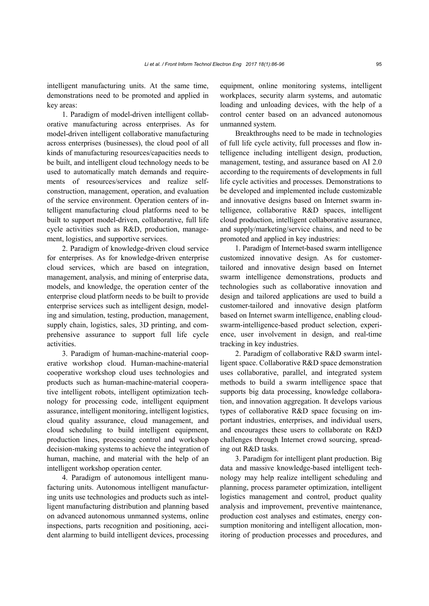intelligent manufacturing units. At the same time, demonstrations need to be promoted and applied in key areas:

1. Paradigm of model-driven intelligent collaborative manufacturing across enterprises. As for model-driven intelligent collaborative manufacturing across enterprises (businesses), the cloud pool of all kinds of manufacturing resources/capacities needs to be built, and intelligent cloud technology needs to be used to automatically match demands and requirements of resources/services and realize selfconstruction, management, operation, and evaluation of the service environment. Operation centers of intelligent manufacturing cloud platforms need to be built to support model-driven, collaborative, full life cycle activities such as R&D, production, management, logistics, and supportive services.

2. Paradigm of knowledge-driven cloud service for enterprises. As for knowledge-driven enterprise cloud services, which are based on integration, management, analysis, and mining of enterprise data, models, and knowledge, the operation center of the enterprise cloud platform needs to be built to provide enterprise services such as intelligent design, modeling and simulation, testing, production, management, supply chain, logistics, sales, 3D printing, and comprehensive assurance to support full life cycle activities.

3. Paradigm of human-machine-material cooperative workshop cloud. Human-machine-material cooperative workshop cloud uses technologies and products such as human-machine-material cooperative intelligent robots, intelligent optimization technology for processing code, intelligent equipment assurance, intelligent monitoring, intelligent logistics, cloud quality assurance, cloud management, and cloud scheduling to build intelligent equipment, production lines, processing control and workshop decision-making systems to achieve the integration of human, machine, and material with the help of an intelligent workshop operation center.

4. Paradigm of autonomous intelligent manufacturing units. Autonomous intelligent manufacturing units use technologies and products such as intelligent manufacturing distribution and planning based on advanced autonomous unmanned systems, online inspections, parts recognition and positioning, accident alarming to build intelligent devices, processing equipment, online monitoring systems, intelligent workplaces, security alarm systems, and automatic loading and unloading devices, with the help of a control center based on an advanced autonomous unmanned system.

Breakthroughs need to be made in technologies of full life cycle activity, full processes and flow intelligence including intelligent design, production, management, testing, and assurance based on AI 2.0 according to the requirements of developments in full life cycle activities and processes. Demonstrations to be developed and implemented include customizable and innovative designs based on Internet swarm intelligence, collaborative R&D spaces, intelligent cloud production, intelligent collaborative assurance, and supply/marketing/service chains, and need to be promoted and applied in key industries:

1. Paradigm of Internet-based swarm intelligence customized innovative design. As for customertailored and innovative design based on Internet swarm intelligence demonstrations, products and technologies such as collaborative innovation and design and tailored applications are used to build a customer-tailored and innovative design platform based on Internet swarm intelligence, enabling cloudswarm-intelligence-based product selection, experience, user involvement in design, and real-time tracking in key industries.

2. Paradigm of collaborative R&D swarm intelligent space. Collaborative R&D space demonstration uses collaborative, parallel, and integrated system methods to build a swarm intelligence space that supports big data processing, knowledge collaboration, and innovation aggregation. It develops various types of collaborative R&D space focusing on important industries, enterprises, and individual users, and encourages these users to collaborate on R&D challenges through Internet crowd sourcing, spreading out R&D tasks.

3. Paradigm for intelligent plant production. Big data and massive knowledge-based intelligent technology may help realize intelligent scheduling and planning, process parameter optimization, intelligent logistics management and control, product quality analysis and improvement, preventive maintenance, production cost analyses and estimates, energy consumption monitoring and intelligent allocation, monitoring of production processes and procedures, and